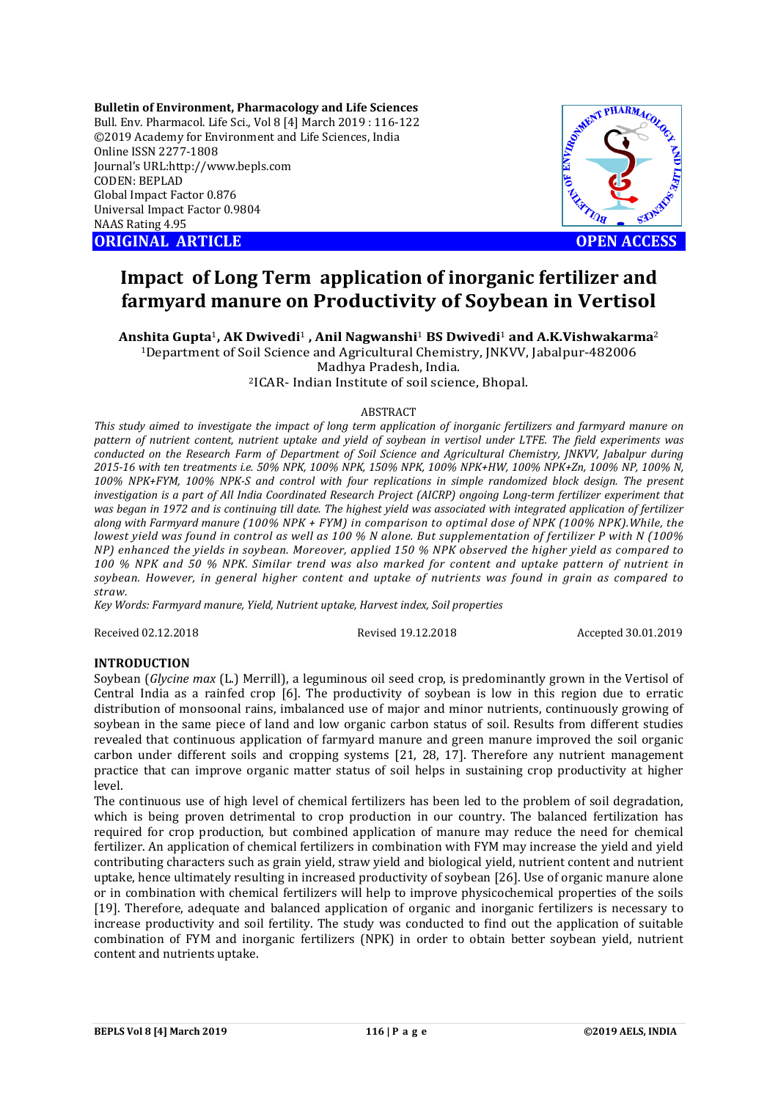**Bulletin of Environment, Pharmacology and Life Sciences** Bull. Env. Pharmacol. Life Sci., Vol 8 [4] March 2019 : 116-122 ©2019 Academy for Environment and Life Sciences, India Online ISSN 2277-1808 Journal's URL:http://www.bepls.com CODEN: BEPLAD Global Impact Factor 0.876 Universal Impact Factor 0.9804 NAAS Rating 4.95 **ORIGINAL ARTICLE OPEN ACCESS** 



# **Impact of Long Term application of inorganic fertilizer and farmyard manure on Productivity of Soybean in Vertisol**

**Anshita Gupta**1**, AK Dwivedi**<sup>1</sup> **, Anil Nagwanshi**<sup>1</sup> **BS Dwivedi**<sup>1</sup> **and A.K.Vishwakarma**<sup>2</sup> 1Department of Soil Science and Agricultural Chemistry, JNKVV, Jabalpur-482006

Madhya Pradesh, India.

2ICAR- Indian Institute of soil science, Bhopal.

## ABSTRACT

*This study aimed to investigate the impact of long term application of inorganic fertilizers and farmyard manure on pattern of nutrient content, nutrient uptake and yield of soybean in vertisol under LTFE. The field experiments was conducted on the Research Farm of Department of Soil Science and Agricultural Chemistry, JNKVV, Jabalpur during 2015-16 with ten treatments i.e. 50% NPK, 100% NPK, 150% NPK, 100% NPK+HW, 100% NPK+Zn, 100% NP, 100% N, 100% NPK+FYM, 100% NPK-S and control with four replications in simple randomized block design. The present investigation is a part of All India Coordinated Research Project (AICRP) ongoing Long-term fertilizer experiment that was began in 1972 and is continuing till date. The highest yield was associated with integrated application of fertilizer along with Farmyard manure (100% NPK + FYM) in comparison to optimal dose of NPK (100% NPK).While, the lowest yield was found in control as well as 100 % N alone. But supplementation of fertilizer P with N (100% NP) enhanced the yields in soybean. Moreover, applied 150 % NPK observed the higher yield as compared to 100 % NPK and 50 % NPK. Similar trend was also marked for content and uptake pattern of nutrient in soybean. However, in general higher content and uptake of nutrients was found in grain as compared to straw.* 

*Key Words: Farmyard manure, Yield, Nutrient uptake, Harvest index, Soil properties*

Received 02.12.2018 Revised 19.12.2018 Accepted 30.01.2019

### **INTRODUCTION**

Soybean (*Glycine max* (L.) Merrill), a leguminous oil seed crop, is predominantly grown in the Vertisol of Central India as a rainfed crop [6]. The productivity of soybean is low in this region due to erratic distribution of monsoonal rains, imbalanced use of major and minor nutrients, continuously growing of soybean in the same piece of land and low organic carbon status of soil. Results from different studies revealed that continuous application of farmyard manure and green manure improved the soil organic carbon under different soils and cropping systems [21, 28, 17]. Therefore any nutrient management practice that can improve organic matter status of soil helps in sustaining crop productivity at higher level.

The continuous use of high level of chemical fertilizers has been led to the problem of soil degradation, which is being proven detrimental to crop production in our country. The balanced fertilization has required for crop production, but combined application of manure may reduce the need for chemical fertilizer. An application of chemical fertilizers in combination with FYM may increase the yield and yield contributing characters such as grain yield, straw yield and biological yield, nutrient content and nutrient uptake, hence ultimately resulting in increased productivity of soybean [26]. Use of organic manure alone or in combination with chemical fertilizers will help to improve physicochemical properties of the soils [19]. Therefore, adequate and balanced application of organic and inorganic fertilizers is necessary to increase productivity and soil fertility. The study was conducted to find out the application of suitable combination of FYM and inorganic fertilizers (NPK) in order to obtain better soybean yield, nutrient content and nutrients uptake.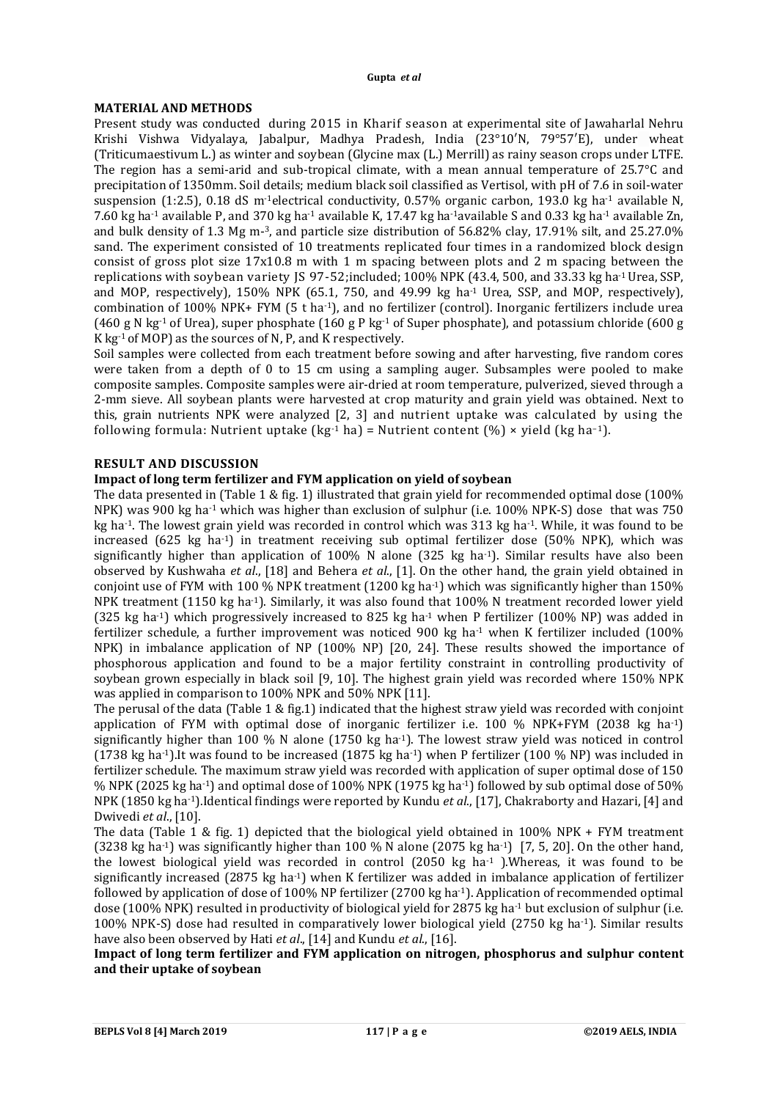#### **MATERIAL AND METHODS**

Present study was conducted during 2015 in Kharif season at experimental site of Jawaharlal Nehru Krishi Vishwa Vidyalaya, Jabalpur, Madhya Pradesh, India (23°10′N, 79°57′E), under wheat (Triticumaestivum L.) as winter and soybean (Glycine max (L.) Merrill) as rainy season crops under LTFE. The region has a semi-arid and sub-tropical climate, with a mean annual temperature of 25.7°C and precipitation of 1350mm. Soil details; medium black soil classified as Vertisol, with pH of 7.6 in soil-water suspension (1:2.5), 0.18 dS m<sup>-1</sup>electrical conductivity, 0.57% organic carbon, 193.0 kg ha<sup>-1</sup> available N, 7.60 kg ha-1 available P, and 370 kg ha-1 available K, 17.47 kg ha-1available S and 0.33 kg ha-1 available Zn, and bulk density of 1.3 Mg m-3, and particle size distribution of 56.82% clay, 17.91% silt, and 25.27.0% sand. The experiment consisted of 10 treatments replicated four times in a randomized block design consist of gross plot size 17x10.8 m with 1 m spacing between plots and 2 m spacing between the replications with soybean variety JS 97-52;included; 100% NPK (43.4, 500, and 33.33 kg ha-1Urea, SSP, and MOP, respectively), 150% NPK (65.1, 750, and 49.99 kg ha<sup>-1</sup> Urea, SSP, and MOP, respectively), combination of 100% NPK+ FYM (5 t ha-1), and no fertilizer (control). Inorganic fertilizers include urea (460 g N kg<sup>-1</sup> of Urea), super phosphate (160 g P kg<sup>-1</sup> of Super phosphate), and potassium chloride (600 g K kg-1 of MOP) as the sources of N, P, and K respectively.

Soil samples were collected from each treatment before sowing and after harvesting, five random cores were taken from a depth of 0 to 15 cm using a sampling auger. Subsamples were pooled to make composite samples. Composite samples were air-dried at room temperature, pulverized, sieved through a 2-mm sieve. All soybean plants were harvested at crop maturity and grain yield was obtained. Next to this, grain nutrients NPK were analyzed [2, 3] and nutrient uptake was calculated by using the following formula: Nutrient uptake  $(kg^{-1}$  ha) = Nutrient content  $(\% ) \times$  yield  $(kg$  ha<sup>-1</sup>).

## **RESULT AND DISCUSSION**

## **Impact of long term fertilizer and FYM application on yield of soybean**

The data presented in (Table 1 & fig. 1) illustrated that grain yield for recommended optimal dose (100% NPK) was 900 kg ha-1 which was higher than exclusion of sulphur (i.e. 100% NPK-S) dose that was 750 kg ha-1. The lowest grain yield was recorded in control which was 313 kg ha-1. While, it was found to be increased (625 kg ha-1) in treatment receiving sub optimal fertilizer dose (50% NPK), which was significantly higher than application of  $100\%$  N alone (325 kg ha<sup>-1</sup>). Similar results have also been observed by Kushwaha *et al*., [18] and Behera *et al*., [1]. On the other hand, the grain yield obtained in conjoint use of FYM with 100 % NPK treatment (1200 kg ha<sup>-1</sup>) which was significantly higher than 150% NPK treatment (1150 kg ha<sup>-1</sup>). Similarly, it was also found that 100% N treatment recorded lower yield (325 kg ha-1) which progressively increased to 825 kg ha-1 when P fertilizer (100% NP) was added in fertilizer schedule, a further improvement was noticed 900 kg ha<sup>-1</sup> when K fertilizer included (100%) NPK) in imbalance application of NP (100% NP) [20, 24]. These results showed the importance of phosphorous application and found to be a major fertility constraint in controlling productivity of soybean grown especially in black soil [9, 10]. The highest grain yield was recorded where 150% NPK was applied in comparison to 100% NPK and 50% NPK [11].

The perusal of the data (Table 1 & fig.1) indicated that the highest straw yield was recorded with conjoint application of FYM with optimal dose of inorganic fertilizer i.e. 100 % NPK+FYM (2038 kg ha-1) significantly higher than 100 % N alone (1750 kg ha<sup>-1</sup>). The lowest straw yield was noticed in control (1738 kg ha-1).It was found to be increased (1875 kg ha-1) when P fertilizer (100 % NP) was included in fertilizer schedule. The maximum straw yield was recorded with application of super optimal dose of 150 % NPK (2025 kg ha-1) and optimal dose of 100% NPK (1975 kg ha-1) followed by sub optimal dose of 50% NPK (1850 kg ha-1).Identical findings were reported by Kundu *et al*., [17], Chakraborty and Hazari, [4] and Dwivedi *et al*., [10].

The data (Table 1 & fig. 1) depicted that the biological yield obtained in 100% NPK + FYM treatment (3238 kg ha<sup>-1</sup>) was significantly higher than 100 % N alone (2075 kg ha<sup>-1</sup>) [7, 5, 20]. On the other hand, the lowest biological yield was recorded in control (2050 kg ha-1 ).Whereas, it was found to be significantly increased (2875 kg ha<sup>-1</sup>) when K fertilizer was added in imbalance application of fertilizer followed by application of dose of 100% NP fertilizer (2700 kg ha-1). Application of recommended optimal dose (100% NPK) resulted in productivity of biological yield for 2875 kg ha-1 but exclusion of sulphur (i.e. 100% NPK-S) dose had resulted in comparatively lower biological yield (2750 kg ha-1). Similar results have also been observed by Hati *et al*., [14] and Kundu *et al*., [16].

**Impact of long term fertilizer and FYM application on nitrogen, phosphorus and sulphur content and their uptake of soybean**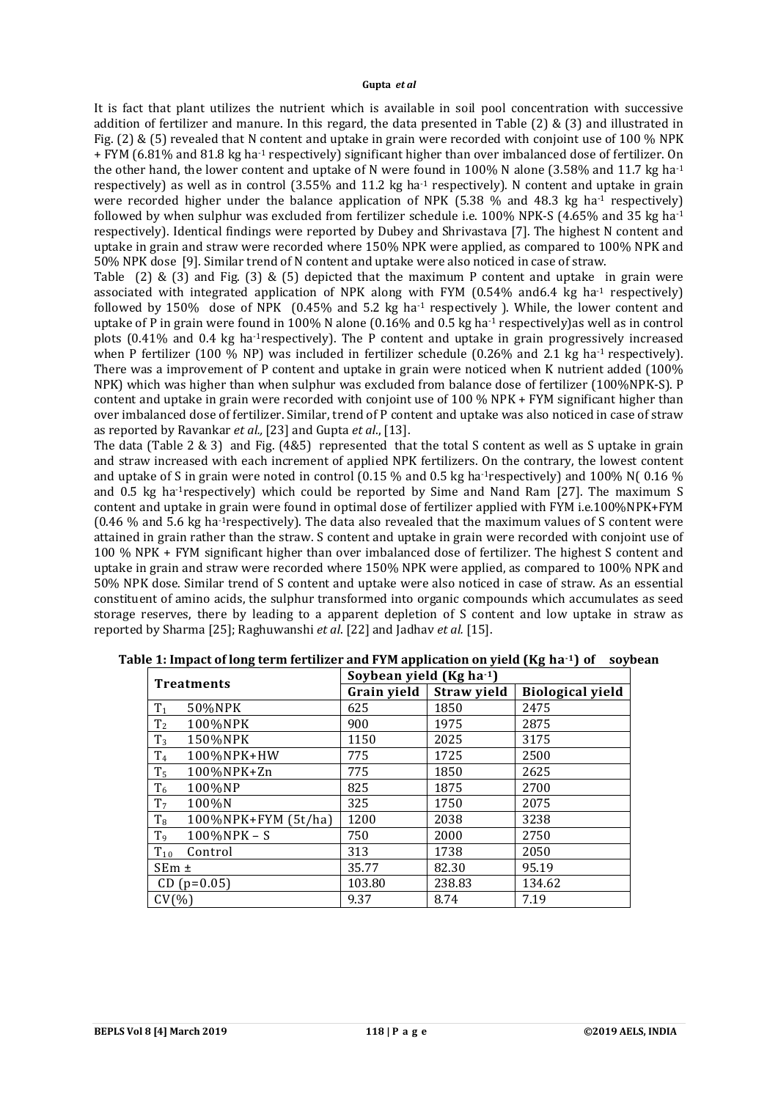It is fact that plant utilizes the nutrient which is available in soil pool concentration with successive addition of fertilizer and manure. In this regard, the data presented in Table (2) & (3) and illustrated in Fig. (2) & (5) revealed that N content and uptake in grain were recorded with conjoint use of 100 % NPK + FYM (6.81% and 81.8 kg ha-1 respectively) significant higher than over imbalanced dose of fertilizer. On the other hand, the lower content and uptake of N were found in 100% N alone (3.58% and 11.7 kg ha<sup>-1</sup>) respectively) as well as in control (3.55% and 11.2 kg ha<sup>-1</sup> respectively). N content and uptake in grain were recorded higher under the balance application of NPK (5.38  $%$  and 48.3 kg ha<sup>-1</sup> respectively) followed by when sulphur was excluded from fertilizer schedule i.e.  $100\%$  NPK-S (4.65% and 35 kg ha<sup>-1</sup>) respectively). Identical findings were reported by Dubey and Shrivastava [7]. The highest N content and uptake in grain and straw were recorded where 150% NPK were applied, as compared to 100% NPK and 50% NPK dose [9]. Similar trend of N content and uptake were also noticed in case of straw.

Table (2) & (3) and Fig. (3) & (5) depicted that the maximum P content and uptake in grain were associated with integrated application of NPK along with FYM  $(0.54\%$  and6.4 kg ha<sup>-1</sup> respectively) followed by 150% dose of NPK  $(0.45\%$  and 5.2 kg ha<sup>-1</sup> respectively ). While, the lower content and uptake of P in grain were found in 100% N alone (0.16% and 0.5 kg ha<sup>-1</sup> respectively) as well as in control plots (0.41% and 0.4 kg ha-1respectively). The P content and uptake in grain progressively increased when P fertilizer (100  $\%$  NP) was included in fertilizer schedule (0.26% and 2.1 kg ha<sup>-1</sup> respectively). There was a improvement of P content and uptake in grain were noticed when K nutrient added (100% NPK) which was higher than when sulphur was excluded from balance dose of fertilizer (100%NPK-S). P content and uptake in grain were recorded with conjoint use of 100 % NPK + FYM significant higher than over imbalanced dose of fertilizer. Similar, trend of P content and uptake was also noticed in case of straw as reported by Ravankar *et al.,* [23] and Gupta *et al*., [13].

The data (Table 2 & 3) and Fig. (4&5) represented that the total S content as well as S uptake in grain and straw increased with each increment of applied NPK fertilizers. On the contrary, the lowest content and uptake of S in grain were noted in control (0.15  $\%$  and 0.5 kg ha<sup>-1</sup>respectively) and 100% N(0.16  $\%$ ) and 0.5 kg ha-1respectively) which could be reported by Sime and Nand Ram [27]. The maximum S content and uptake in grain were found in optimal dose of fertilizer applied with FYM i.e.100%NPK+FYM (0.46 % and 5.6 kg ha-1respectively). The data also revealed that the maximum values of S content were attained in grain rather than the straw. S content and uptake in grain were recorded with conjoint use of 100 % NPK + FYM significant higher than over imbalanced dose of fertilizer. The highest S content and uptake in grain and straw were recorded where 150% NPK were applied, as compared to 100% NPK and 50% NPK dose. Similar trend of S content and uptake were also noticed in case of straw. As an essential constituent of amino acids, the sulphur transformed into organic compounds which accumulates as seed storage reserves, there by leading to a apparent depletion of S content and low uptake in straw as reported by Sharma [25]; Raghuwanshi *et al*. [22] and Jadhav *et al.* [15].

| <b>Treatments</b>                    | Soybean yield ( $Kg$ ha <sup>-1</sup> ) |        |                         |  |  |
|--------------------------------------|-----------------------------------------|--------|-------------------------|--|--|
|                                      | Grain yield<br><b>Straw yield</b>       |        | <b>Biological yield</b> |  |  |
| $T_1$<br>50%NPK                      | 625                                     | 1850   | 2475                    |  |  |
| T <sub>2</sub><br>100%NPK            | 900                                     | 1975   | 2875                    |  |  |
| $T_3$<br>150%NPK                     | 1150                                    | 2025   | 3175                    |  |  |
| T <sub>4</sub><br>100%NPK+HW         | 775                                     | 1725   | 2500                    |  |  |
| T <sub>5</sub><br>$100\%$ NPK $+$ Zn | 775                                     | 1850   | 2625                    |  |  |
| $T_6$<br>100%NP                      | 825                                     | 1875   | 2700                    |  |  |
| T <sub>7</sub><br>100%N              | 325                                     | 1750   | 2075                    |  |  |
| $T_8$<br>$100\%$ NPK+FYM (5t/ha)     | 1200                                    | 2038   | 3238                    |  |  |
| T <sub>9</sub><br>100%NPK-S          | 750                                     | 2000   | 2750                    |  |  |
| $T_{10}$<br>Control                  | 313                                     | 1738   | 2050                    |  |  |
| $SEm \pm$                            | 35.77                                   | 82.30  | 95.19                   |  |  |
| $CD (p=0.05)$                        | 103.80                                  | 238.83 | 134.62                  |  |  |
| CV(%)                                | 9.37                                    | 8.74   | 7.19                    |  |  |

**Table 1: Impact of long term fertilizer and FYM application on yield (Kg ha-1) of soybean**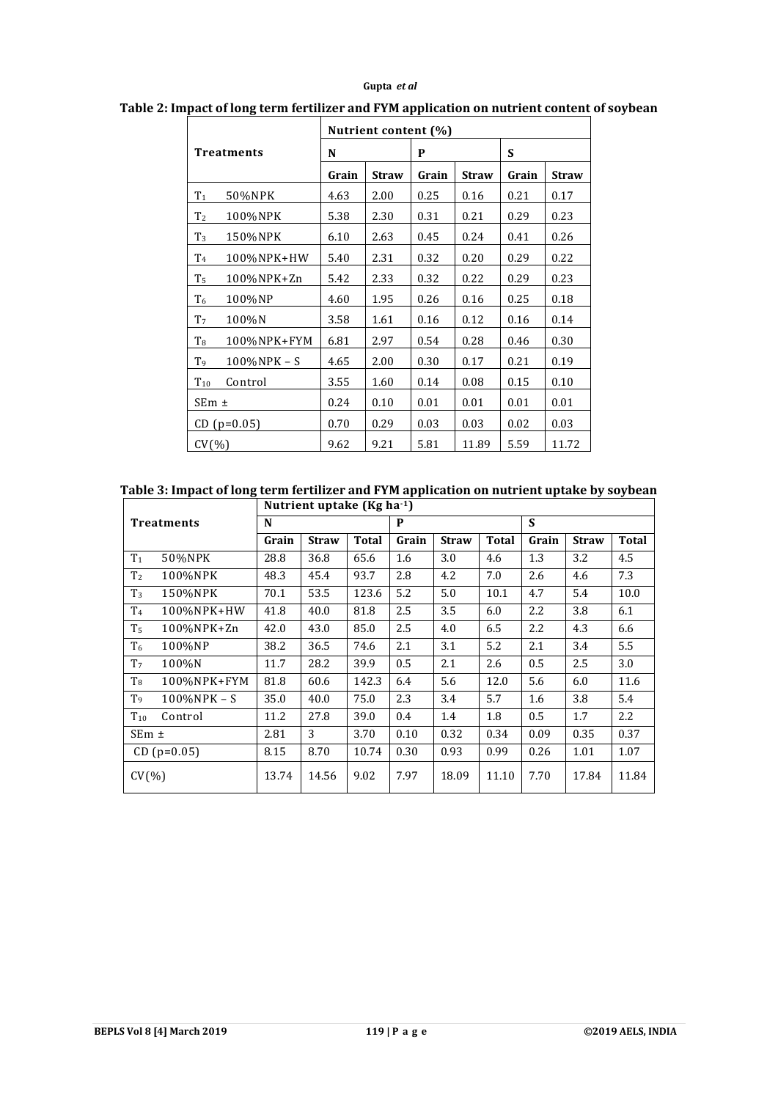| <b>Treatments</b> |             | Nutrient content (%)  |      |       |              |       |              |  |
|-------------------|-------------|-----------------------|------|-------|--------------|-------|--------------|--|
|                   |             | N                     |      | P     |              | S     |              |  |
|                   |             | Grain<br><b>Straw</b> |      | Grain | <b>Straw</b> | Grain | <b>Straw</b> |  |
| T <sub>1</sub>    | 50%NPK      | 4.63                  | 2.00 | 0.25  | 0.16         | 0.21  | 0.17         |  |
| T <sub>2</sub>    | 100%NPK     | 5.38                  | 2.30 | 0.31  | 0.21         | 0.29  | 0.23         |  |
| $T_3$             | 150%NPK     | 6.10                  | 2.63 | 0.45  | 0.24         | 0.41  | 0.26         |  |
| T <sub>4</sub>    | 100%NPK+HW  | 5.40                  | 2.31 | 0.32  | 0.20         | 0.29  | 0.22         |  |
| T <sub>5</sub>    | 100%NPK+Zn  | 5.42                  | 2.33 | 0.32  | 0.22         | 0.29  | 0.23         |  |
| T <sub>6</sub>    | 100%NP      | 4.60                  | 1.95 | 0.26  | 0.16         | 0.25  | 0.18         |  |
| T <sub>7</sub>    | 100%N       | 3.58                  | 1.61 | 0.16  | 0.12         | 0.16  | 0.14         |  |
| T <sub>8</sub>    | 100%NPK+FYM | 6.81                  | 2.97 | 0.54  | 0.28         | 0.46  | 0.30         |  |
| T <sub>9</sub>    | 100%NPK - S | 4.65                  | 2.00 | 0.30  | 0.17         | 0.21  | 0.19         |  |
| $T_{10}$          | Control     | 3.55                  | 1.60 | 0.14  | 0.08         | 0.15  | 0.10         |  |
| SEm ±             |             | 0.24                  | 0.10 | 0.01  | 0.01         | 0.01  | 0.01         |  |
| $CD(p=0.05)$      |             | 0.70                  | 0.29 | 0.03  | 0.03         | 0.02  | 0.03         |  |
| $CV(\%)$          |             | 9.62                  | 9.21 | 5.81  | 11.89        | 5.59  | 11.72        |  |

## **Table 2: Impact of long term fertilizer and FYM application on nutrient content of soybean**

# **Table 3: Impact of long term fertilizer and FYM application on nutrient uptake by soybean**

| Nutrient uptake ( $Kg$ ha <sup>-1</sup> ) |                 |       |              |              |       |              |              |       |              |                  |
|-------------------------------------------|-----------------|-------|--------------|--------------|-------|--------------|--------------|-------|--------------|------------------|
| <b>Treatments</b>                         |                 | N     |              |              | P     |              |              | S     |              |                  |
|                                           |                 | Grain | <b>Straw</b> | <b>Total</b> | Grain | <b>Straw</b> | <b>Total</b> | Grain | <b>Straw</b> | Total            |
| T <sub>1</sub>                            | 50%NPK          | 28.8  | 36.8         | 65.6         | 1.6   | 3.0          | 4.6          | 1.3   | 3.2          | 4.5              |
| T <sub>2</sub>                            | 100%NPK         | 48.3  | 45.4         | 93.7         | 2.8   | 4.2          | 7.0          | 2.6   | 4.6          | 7.3              |
| T <sub>3</sub>                            | 150%NPK         | 70.1  | 53.5         | 123.6        | 5.2   | 5.0          | 10.1         | 4.7   | 5.4          | 10.0             |
| T <sub>4</sub>                            | 100%NPK+HW      | 41.8  | 40.0         | 81.8         | 2.5   | 3.5          | 6.0          | 2.2   | 3.8          | 6.1              |
| T <sub>5</sub>                            | 100%NPK+Zn      | 42.0  | 43.0         | 85.0         | 2.5   | 4.0          | 6.5          | 2.2   | 4.3          | 6.6              |
| T <sub>6</sub>                            | 100%NP          | 38.2  | 36.5         | 74.6         | 2.1   | 3.1          | 5.2          | 2.1   | 3.4          | 5.5              |
| T <sub>7</sub>                            | 100%N           | 11.7  | 28.2         | 39.9         | 0.5   | 2.1          | 2.6          | 0.5   | 2.5          | 3.0              |
| T <sub>8</sub>                            | 100%NPK+FYM     | 81.8  | 60.6         | 142.3        | 6.4   | 5.6          | 12.0         | 5.6   | 6.0          | 11.6             |
| T <sub>9</sub>                            | $100\%$ NPK – S | 35.0  | 40.0         | 75.0         | 2.3   | 3.4          | 5.7          | 1.6   | 3.8          | 5.4              |
| $T_{10}$                                  | Control         | 11.2  | 27.8         | 39.0         | 0.4   | 1.4          | 1.8          | 0.5   | 1.7          | $2.2\phantom{0}$ |
| $SEm \pm$                                 |                 | 2.81  | 3            | 3.70         | 0.10  | 0.32         | 0.34         | 0.09  | 0.35         | 0.37             |
| $CD (p=0.05)$                             |                 | 8.15  | 8.70         | 10.74        | 0.30  | 0.93         | 0.99         | 0.26  | 1.01         | 1.07             |
| $CV(\% )$                                 |                 | 13.74 | 14.56        | 9.02         | 7.97  | 18.09        | 11.10        | 7.70  | 17.84        | 11.84            |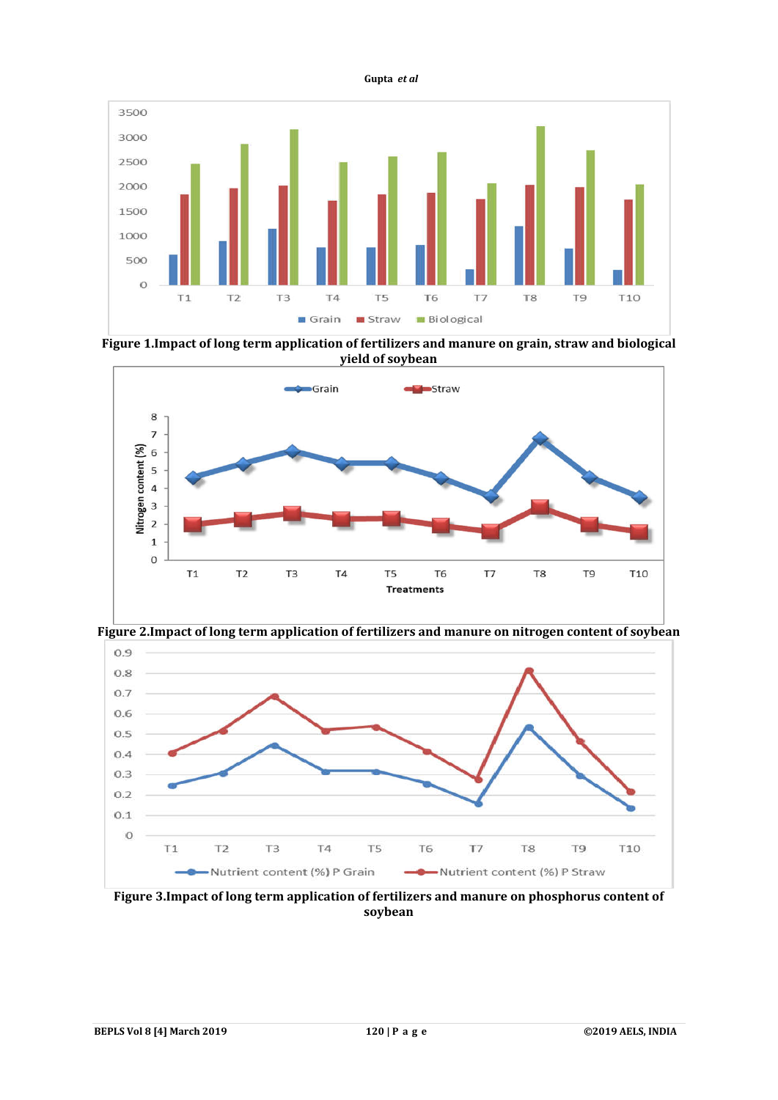

**Figure 1.Impact of long term application of fertilizers and manure on grain, straw and biological yield of soybean**



**Figure 2.Impact of long term application of fertilizers and manure on nitrogen content of soybean**



**Figure 3.Impact of long term application of fertilizers and manure on phosphorus content of soybean**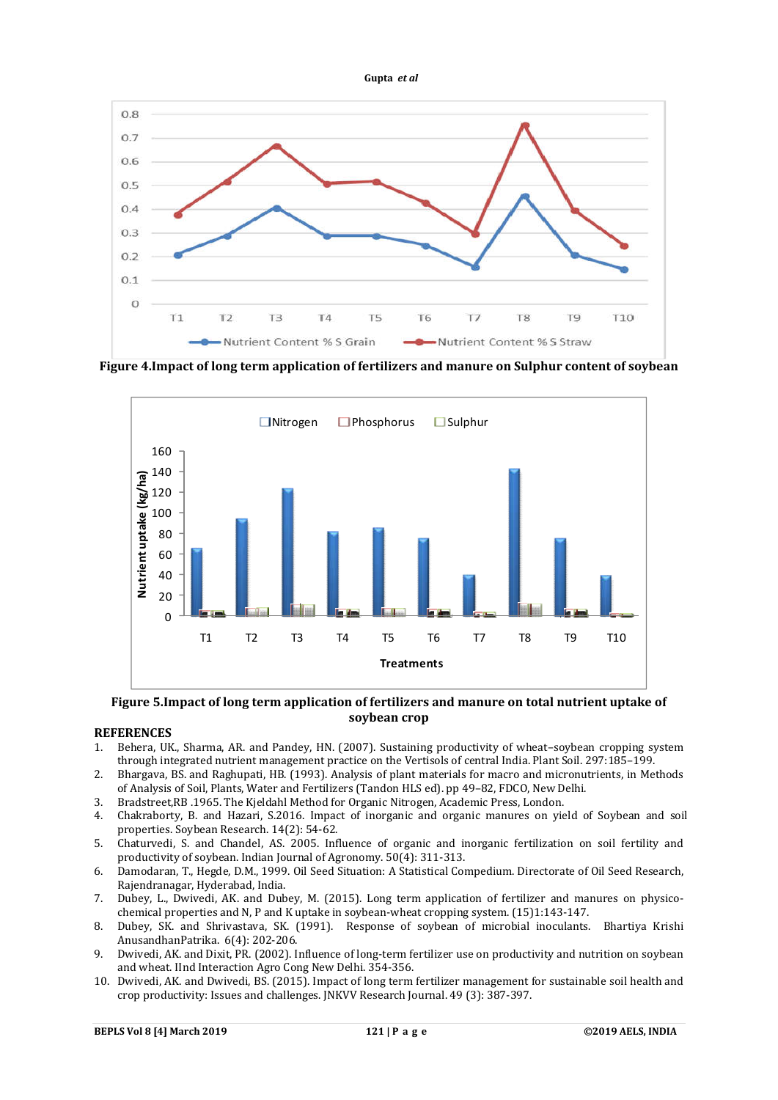

**Figure 4.Impact of long term application of fertilizers and manure on Sulphur content of soybean**



### **Figure 5.Impact of long term application of fertilizers and manure on total nutrient uptake of soybean crop**

#### **REFERENCES**

- 1. Behera, UK., Sharma, AR. and Pandey, HN. (2007). Sustaining productivity of wheat–soybean cropping system through integrated nutrient management practice on the Vertisols of central India. Plant Soil. 297:185–199.
- 2. Bhargava, BS. and Raghupati, HB. (1993). Analysis of plant materials for macro and micronutrients, in Methods of Analysis of Soil, Plants, Water and Fertilizers (Tandon HLS ed). pp 49–82, FDCO, New Delhi.
- 3. Bradstreet,RB .1965. The Kjeldahl Method for Organic Nitrogen, Academic Press, London.
- 4. Chakraborty, B. and Hazari, S.2016. Impact of inorganic and organic manures on yield of Soybean and soil properties. Soybean Research. 14(2): 54-62.
- 5. Chaturvedi, S. and Chandel, AS. 2005. Influence of organic and inorganic fertilization on soil fertility and productivity of soybean. Indian Journal of Agronomy. 50(4): 311-313.
- 6. Damodaran, T., Hegde, D.M., 1999. Oil Seed Situation: A Statistical Compedium. Directorate of Oil Seed Research, Rajendranagar, Hyderabad, India.
- 7. Dubey, L., Dwivedi, AK. and Dubey, M. (2015). Long term application of fertilizer and manures on physicochemical properties and N, P and K uptake in soybean-wheat cropping system. (15)1:143-147.
- 8. Dubey, SK. and Shrivastava, SK. (1991). Response of soybean of microbial inoculants. Bhartiya Krishi AnusandhanPatrika. 6(4): 202-206.
- 9. Dwivedi, AK. and Dixit, PR. (2002). Influence of long-term fertilizer use on productivity and nutrition on soybean and wheat. IInd Interaction Agro Cong New Delhi. 354-356.
- 10. Dwivedi, AK. and Dwivedi, BS. (2015). Impact of long term fertilizer management for sustainable soil health and crop productivity: Issues and challenges. JNKVV Research Journal. 49 (3): 387-397.